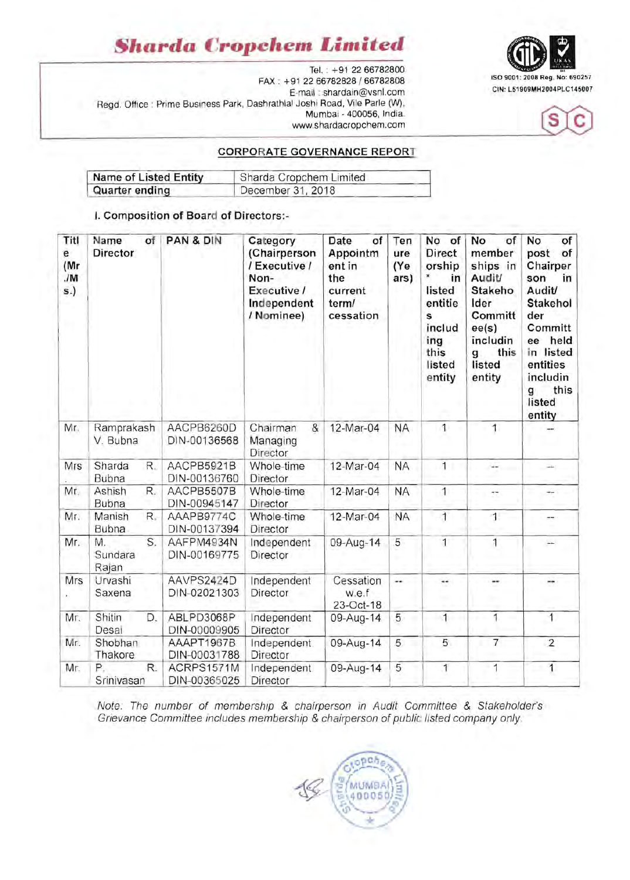# *Sharda* **Cropchen.** *Limited*

Tel.: +91 22 66782800 ISO 9001 : 2008 Reg. No: 690257 FAX . +91 2266782828 / 66782808 E-mail : shardain@vsnl.com Regd. Office : Prime Business Park, Dashrathlal Joshi Road, Vile Parle (W), Mumbai - 400056, India. www.shardacropchem.com

#### **CORPORATE GOVERNANCE REPORT**

| <b>Name of Listed Entity</b> | Sharda Cropchem Limited |  |  |
|------------------------------|-------------------------|--|--|
| Quarter ending               | December 31, 2018       |  |  |

#### **I. Composition of Board of Directors:-**

| Titl<br>e<br>(Mr<br>JM<br>s.) | Name<br>of<br><b>Director</b> | PAN & DIN                  | Category<br>(Chairperson<br>/ Executive /<br>Non-<br>Executive /<br>Independent<br>/ Nominee) | Date<br>of<br>Appointm<br>ent in<br>the<br>current<br>term/<br>cessation | Ten<br>ure<br>(Ye<br>ars) | No of<br><b>Direct</b><br>orship<br>in<br>listed<br>entitie<br>s<br>includ<br>ing<br>this<br>listed<br>entity | No<br>of<br>member<br>ships in<br>Audit/<br>Stakeho<br>Ider<br>Committ<br>ee(s)<br>includin<br>this<br>g<br>listed<br>entity | of<br>No<br>post<br>of<br>Chairper<br>son<br>in<br><b>Audit/</b><br>Stakehol<br>der<br>Committ<br>held<br>ee<br>in listed<br>entities<br>includin<br>this<br>g<br>listed<br>entity |
|-------------------------------|-------------------------------|----------------------------|-----------------------------------------------------------------------------------------------|--------------------------------------------------------------------------|---------------------------|---------------------------------------------------------------------------------------------------------------|------------------------------------------------------------------------------------------------------------------------------|------------------------------------------------------------------------------------------------------------------------------------------------------------------------------------|
| Mr.                           | Ramprakash<br>V. Bubna        | AACPB6260D<br>DIN-00136568 | &<br>Chairman<br>Managing<br>Director                                                         | 12-Mar-04                                                                | <b>NA</b>                 | 1                                                                                                             | $\overline{1}$                                                                                                               |                                                                                                                                                                                    |
| Mrs                           | Sharda<br>R.<br>Bubna         | AACPB5921B<br>DIN-00136760 | Whole-time<br>Director                                                                        | 12-Mar-04                                                                | <b>NA</b>                 | $\overline{1}$                                                                                                | --                                                                                                                           |                                                                                                                                                                                    |
| Mr.                           | Ashish<br>R.<br>Bubna         | AACPB5507B<br>DIN-00945147 | Whole-time<br>Director                                                                        | 12-Mar-04                                                                | <b>NA</b>                 | $\overline{1}$                                                                                                | ÷                                                                                                                            |                                                                                                                                                                                    |
| Mr.                           | Manish<br>R.<br>Bubna         | AAAPB9774C<br>DIN-00137394 | Whole-time<br>Director                                                                        | 12-Mar-04                                                                | <b>NA</b>                 | $\overline{1}$                                                                                                | $\overline{1}$                                                                                                               | --                                                                                                                                                                                 |
| Mr.                           | S.<br>M.<br>Sundara<br>Rajan  | AAFPM4934N<br>DIN-00169775 | Independent<br>Director                                                                       | 09-Aug-14                                                                | 5                         | $\overline{1}$                                                                                                | 1                                                                                                                            |                                                                                                                                                                                    |
| Mrs                           | Urvashi<br>Saxena             | AAVPS2424D<br>DIN-02021303 | Independent<br>Director                                                                       | Cessation<br>w.e.f<br>23-Oct-18                                          |                           | --                                                                                                            |                                                                                                                              | $-$                                                                                                                                                                                |
| Mr.                           | Shitin<br>D.<br>Desai         | ABLPD3068P<br>DIN-00009905 | Independent<br>Director                                                                       | 09-Aug-14                                                                | 5                         | 1                                                                                                             | 1                                                                                                                            | 1                                                                                                                                                                                  |
| Mr.                           | Shobhan<br>Thakore            | AAAPT1967B<br>DIN-00031788 | Independent<br>Director                                                                       | 09-Aug-14                                                                | 5                         | 5                                                                                                             | $\overline{7}$                                                                                                               | $\overline{2}$                                                                                                                                                                     |
| Mr.                           | P<br>R.<br>Srinivasan         | ACRPS1571M<br>DIN-00365025 | Independent<br>Director                                                                       | 09-Aug-14                                                                | 5                         | 1                                                                                                             | 1                                                                                                                            | 1                                                                                                                                                                                  |

Note. The number of membership & chairperson in Audit Committee & Stakeholder's Grievance Committee includes membership & chairperson of public listed company only.

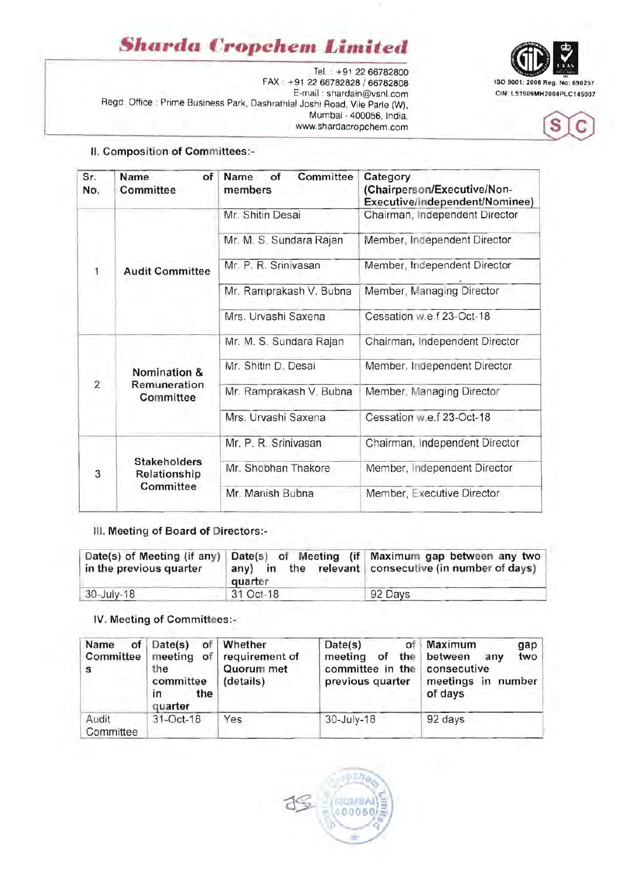# *§harda* **Cropchem** *Limited*

. Tel. • +91 *2266782800*  FAX • +91 *2266782828 / 66782808* ISO 9001 : 2008 Reg. No: 690257 E-mail : shardain@vsnl.com Regd. Office : Prime Business Park, Dashrathlal Joshi Road, Vile Parle (W), Mumbai - 400056, India. www.shardacropchem.com





#### **II. Composition of Committees:-**

| Sr.<br>No.     | of<br>Name<br><b>Committee</b>                   | Committee<br>Name<br>of<br>members | Category<br>(Chairperson/Executive/Non-<br>Executive/Independent/Nominee) |  |  |
|----------------|--------------------------------------------------|------------------------------------|---------------------------------------------------------------------------|--|--|
| $\overline{1}$ | <b>Audit Committee</b>                           | Mr. Shitin Desai                   | Chairman, Independent Director                                            |  |  |
|                |                                                  | Mr. M. S. Sundara Rajan            | Member, Independent Director                                              |  |  |
|                |                                                  | Mr. P. R. Srinivasan               | Member, Independent Director                                              |  |  |
|                |                                                  | Mr. Ramprakash V. Bubna            | Member, Managing Director                                                 |  |  |
|                |                                                  | Mrs. Urvashi Saxena                | Cessation w.e.f 23-Oct-18                                                 |  |  |
| $\overline{a}$ | Nomination &<br>Remuneration<br>Committee        | Mr. M. S. Sundara Rajan            | Chairman, Independent Director                                            |  |  |
|                |                                                  | Mr. Shitin D. Desai                | Member, Independent Director                                              |  |  |
|                |                                                  | Mr. Ramprakash V. Bubna            | Member, Managing Director                                                 |  |  |
|                |                                                  | Mrs. Urvashi Saxena                | Cessation w.e.f 23-Oct-18                                                 |  |  |
| 3              | <b>Stakeholders</b><br>Relationship<br>Committee | Mr. P. R. Srinivasan               | Chairman, Independent Director                                            |  |  |
|                |                                                  | Mr. Shobhan Thakore                | Member, Independent Director                                              |  |  |
|                |                                                  | Mr. Manish Bubna                   | Member, Executive Director                                                |  |  |

### **III. Meeting of Board of Directors:**

| in the previous quarter | quarter   | Date(s) of Meeting (if any)   Date(s) of Meeting (if   Maximum gap between any two<br>any) in the relevant consecutive (in number of days) |
|-------------------------|-----------|--------------------------------------------------------------------------------------------------------------------------------------------|
| $30 - July - 18$        | 31 Oct-18 | 92 Days                                                                                                                                    |

#### IV. Meeting of Committees:-

| of<br>Name<br><b>Committee</b><br>s | Date(s)<br>of<br>meeting of<br>the<br>committee<br>the<br>in<br>quarter | Whether<br>requirement of<br>Quorum met<br>(details) | Date(s)<br>οf<br>the<br>meeting<br>οf<br>committee in the<br>previous quarter | Maximum<br>gap<br>between<br>two<br>any<br>consecutive<br>meetings in number<br>of days |
|-------------------------------------|-------------------------------------------------------------------------|------------------------------------------------------|-------------------------------------------------------------------------------|-----------------------------------------------------------------------------------------|
| Audit<br>Committee                  | 31-Oct-18                                                               | Yes                                                  | 30-July-18                                                                    | 92 days                                                                                 |